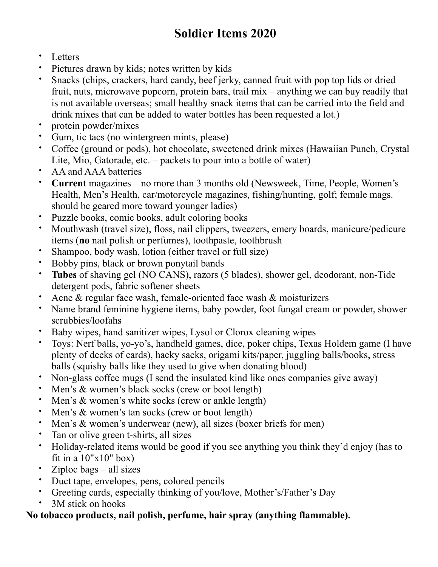## **Soldier Items 2020**

- Letters
- Pictures drawn by kids; notes written by kids
- Snacks (chips, crackers, hard candy, beef jerky, canned fruit with pop top lids or dried fruit, nuts, microwave popcorn, protein bars, trail mix – anything we can buy readily that is not available overseas; small healthy snack items that can be carried into the field and drink mixes that can be added to water bottles has been requested a lot.)
- protein powder/mixes
- Gum, tic tacs (no wintergreen mints, please)
- Coffee (ground or pods), hot chocolate, sweetened drink mixes (Hawaiian Punch, Crystal Lite, Mio, Gatorade, etc. – packets to pour into a bottle of water)
- AA and AAA batteries
- **Current** magazines no more than 3 months old (Newsweek, Time, People, Women's Health, Men's Health, car/motorcycle magazines, fishing/hunting, golf; female mags. should be geared more toward younger ladies)
- Puzzle books, comic books, adult coloring books
- Mouthwash (travel size), floss, nail clippers, tweezers, emery boards, manicure/pedicure items (**no** nail polish or perfumes), toothpaste, toothbrush
- Shampoo, body wash, lotion (either travel or full size)
- Bobby pins, black or brown ponytail bands
- **Tubes** of shaving gel (NO CANS), razors (5 blades), shower gel, deodorant, non-Tide detergent pods, fabric softener sheets
- Acne  $\&$  regular face wash, female-oriented face wash  $\&$  moisturizers
- Name brand feminine hygiene items, baby powder, foot fungal cream or powder, shower scrubbies/loofahs
- Baby wipes, hand sanitizer wipes, Lysol or Clorox cleaning wipes
- Toys: Nerf balls, yo-yo's, handheld games, dice, poker chips, Texas Holdem game (I have plenty of decks of cards), hacky sacks, origami kits/paper, juggling balls/books, stress balls (squishy balls like they used to give when donating blood)
- Non-glass coffee mugs (I send the insulated kind like ones companies give away)
- Men's & women's black socks (crew or boot length)
- Men's & women's white socks (crew or ankle length)
- Men's & women's tan socks (crew or boot length)
- Men's & women's underwear (new), all sizes (boxer briefs for men)
- Tan or olive green t-shirts, all sizes
- Holiday-related items would be good if you see anything you think they'd enjoy (has to fit in a  $10"x10"$  box)
- $Ziploc$  bags all sizes
- Duct tape, envelopes, pens, colored pencils
- Greeting cards, especially thinking of you/love, Mother's/Father's Day
- 3M stick on hooks

## **No tobacco products, nail polish, perfume, hair spray (anything flammable).**